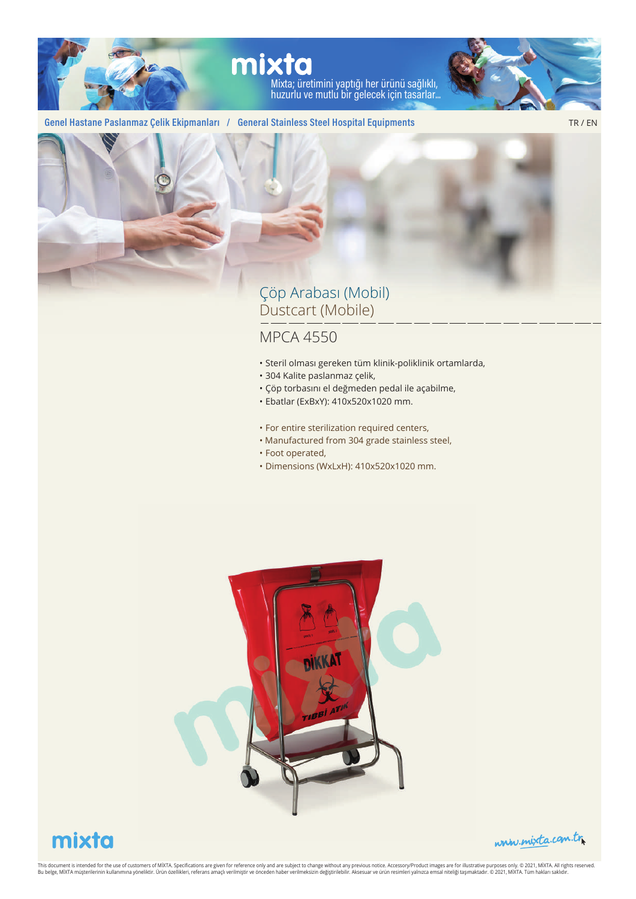

# mixta

Mixta; üretimini yaptığı her ürünü sağlıklı, huzurlu ve mutlu bir gelecek için tasarlar...



#### **Genel Hastane Paslanmaz Çelik Ekipmanları / General Stainless Steel Hospital Equipments**

TR / EN



### Çöp Arabası (Mobil) Dustcart (Mobile)

#### MPCA 4550

- Steril olması gereken tüm klinik-poliklinik ortamlarda,
- 304 Kalite paslanmaz çelik,
- Çöp torbasını el değmeden pedal ile açabilme,
- Ebatlar (ExBxY): 410x520x1020 mm.
- For entire sterilization required centers,
- Manufactured from 304 grade stainless steel,
- Foot operated,
- Dimensions (WxLxH): 410x520x1020 mm.



## mixta



This document is intended for the use of customers of MIXTA. Specifications are given for reference only and are subject to change without any previous notice. Accessory/Product images are for illustrative publications, we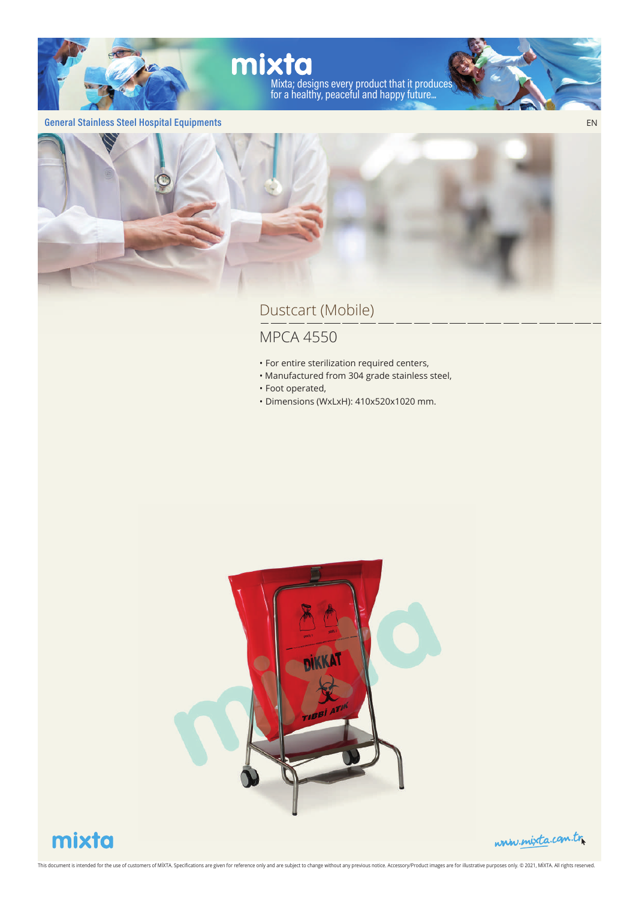

#### **General Stainless Steel Hospital Equipments**



### Dustcart (Mobile)

### MPCA 4550

- For entire sterilization required centers,
- Manufactured from 304 grade stainless steel,
- Foot operated,
- Dimensions (WxLxH): 410x520x1020 mm.



## mixta

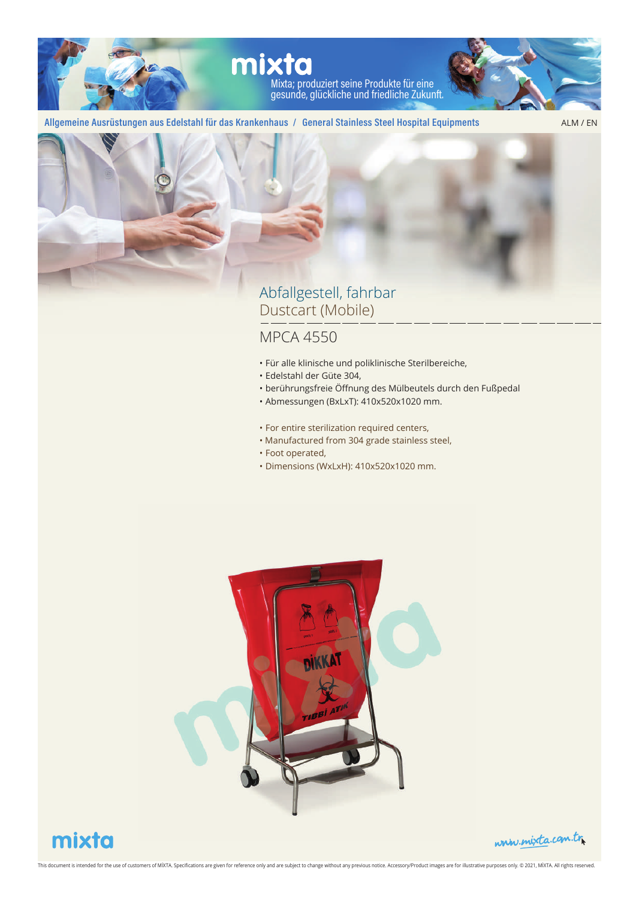

#### **Allgemeine Ausrüstungen aus Edelstahl für das Krankenhaus / General Stainless Steel Hospital Equipments**

ALM / EN



### Abfallgestell, fahrbar Dustcart (Mobile)

- Für alle klinische und poliklinische Sterilbereiche,
- Edelstahl der Güte 304,
- berührungsfreie Öffnung des Mülbeutels durch den Fußpedal
- Abmessungen (BxLxT): 410x520x1020 mm.
- For entire sterilization required centers,
- Manufactured from 304 grade stainless steel,
- Foot operated,
- Dimensions (WxLxH): 410x520x1020 mm.





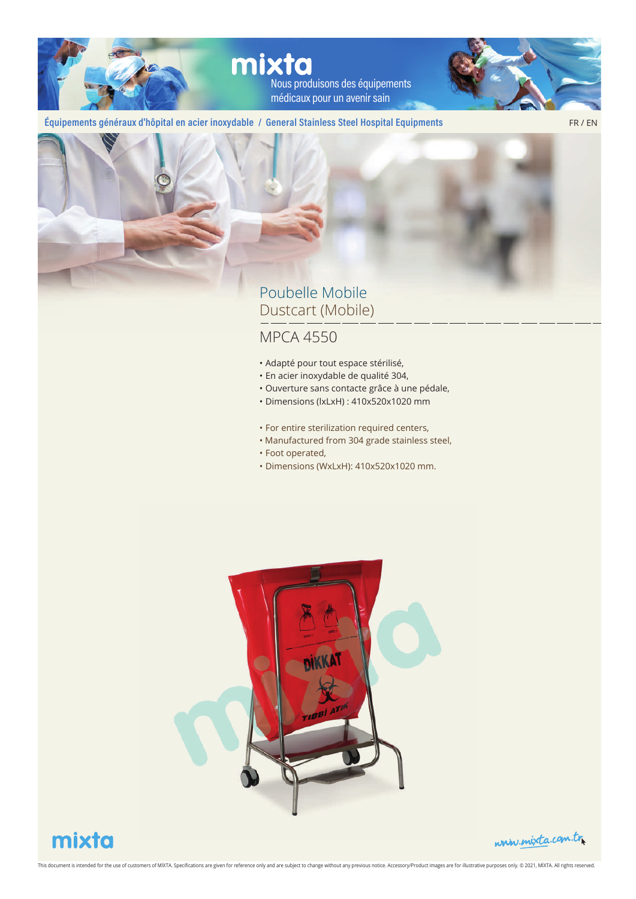mixta Nous produisons des équipements médicaux pour un avenir sain

#### **Équipements généraux d'hôpital en acier inoxydable / General Stainless Steel Hospital Equipments**

FR / EN



#### Poubelle Mobile Dustcart (Mobile)

- Adapté pour tout espace stérilisé,
- En acier inoxydable de qualité 304,
- Ouverture sans contacte grâce à une pédale,
- Dimensions (lxLxH) : 410x520x1020 mm
- For entire sterilization required centers,
- Manufactured from 304 grade stainless steel,
- Foot operated,
- Dimensions (WxLxH): 410x520x1020 mm.





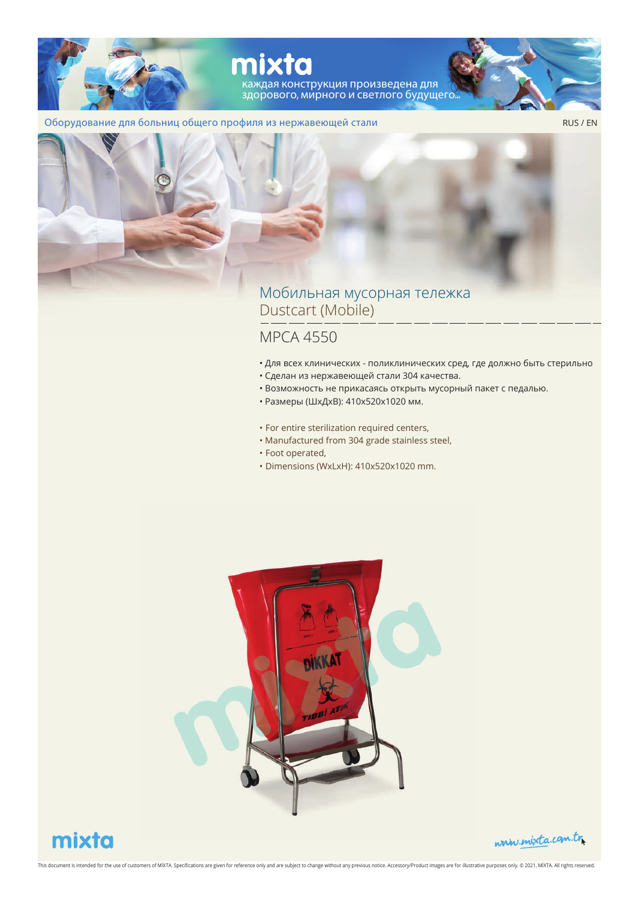

#### Оборудование для больниц общего профиля из нержавеющей стали

RUS / EN



#### Мобильная мусорная тележка Dustcart (Mobile)

#### MPCA 4550

- Для всех клинических поликлинических сред, где должно быть стерильно
- Сделан из нержавеющей стали 304 качества.
- Возможность не прикасаясь открыть мусорный пакет с педалью.
- Размеры (ШхДхВ): 410x520x1020 мм.
- For entire sterilization required centers,
- Manufactured from 304 grade stainless steel,
- Foot operated,
- Dimensions (WxLxH): 410x520x1020 mm.



## mixta

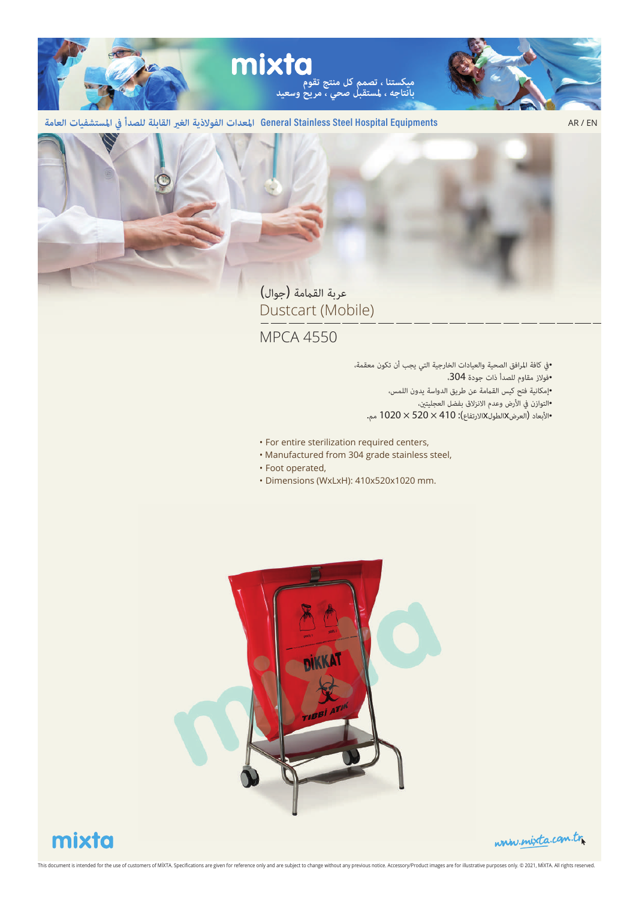

General Stainless Steel Hospital Equipments المعدات الفولاذية الغير القابلة للصدأ في المستشفيات العامة

AR / EN



عربة القمامة (جوال) Dustcart (Mobile)

MPCA 4550

• كافة ارافق الصحية والعيادات الخارجية التي يجب أن تكون معقمة، • فوز مقاوم للصدأ ذات جودة ،304 • إمكانية فتح كيس القمة عن طريق الدواسة يدون اللمس، •التوازن في الأرض وعدم الانزلاق بفضل العجليتين، • ابعاد (العرضxالطولxارتفاع): 410 × 520 × 1020 مم.

- For entire sterilization required centers,
- Manufactured from 304 grade stainless steel,
- Foot operated,
- Dimensions (WxLxH): 410x520x1020 mm.



## mixta

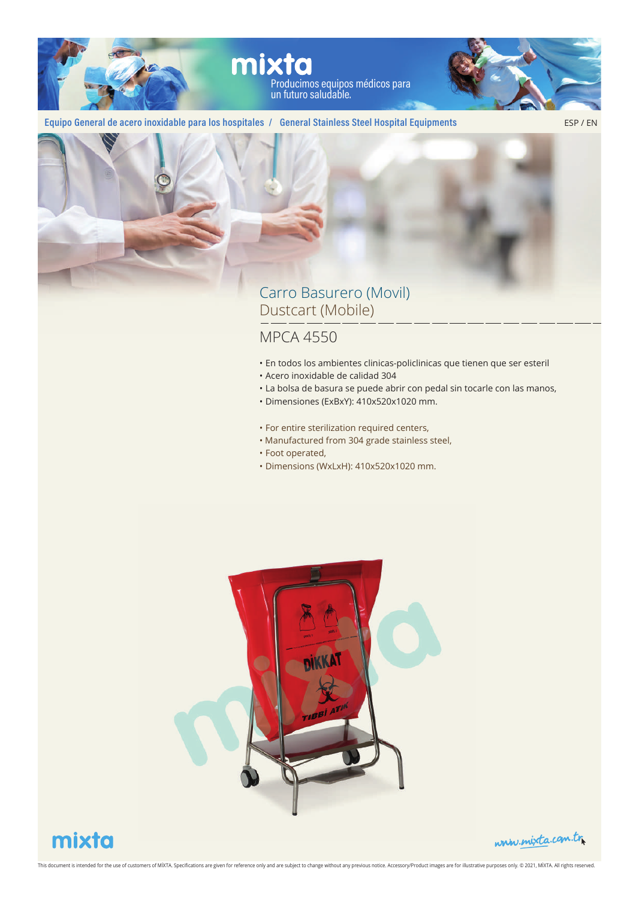

#### **Equipo General de acero inoxidable para los hospitales / General Stainless Steel Hospital Equipments**

ESP / EN



### Carro Basurero (Movil) Dustcart (Mobile)

- En todos los ambientes clinicas-policlinicas que tienen que ser esteril
- Acero inoxidable de calidad 304
- La bolsa de basura se puede abrir con pedal sin tocarle con las manos,
- Dimensiones (ExBxY): 410x520x1020 mm.
- For entire sterilization required centers,
- Manufactured from 304 grade stainless steel,
- Foot operated,
- Dimensions (WxLxH): 410x520x1020 mm.